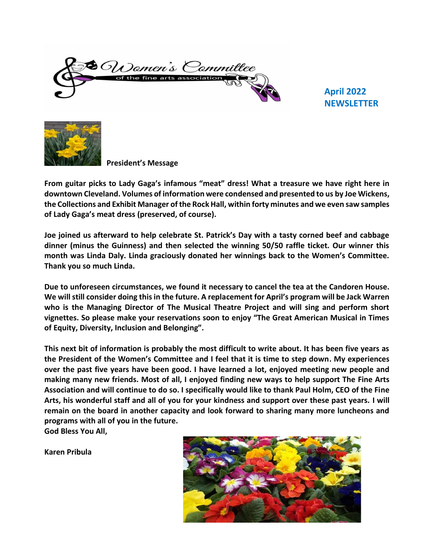$\bullet$  Op)omen's Committee ne arts association

 **April 2022 NEWSLETTER** 



**President's Message**

**From guitar picks to Lady Gaga's infamous "meat" dress! What a treasure we have right here in downtown Cleveland. Volumes of information were condensed and presented to us by Joe Wickens, the Collections and Exhibit Manager of the Rock Hall, within forty minutes and we even saw samples of Lady Gaga's meat dress (preserved, of course).**

**Joe joined us afterward to help celebrate St. Patrick's Day with a tasty corned beef and cabbage dinner (minus the Guinness) and then selected the winning 50/50 raffle ticket. Our winner this month was Linda Daly. Linda graciously donated her winnings back to the Women's Committee. Thank you so much Linda.**

**Due to unforeseen circumstances, we found it necessary to cancel the tea at the Candoren House. We will still consider doing this in the future. A replacement for April's program will be Jack Warren who is the Managing Director of The Musical Theatre Project and will sing and perform short vignettes. So please make your reservations soon to enjoy "The Great American Musical in Times of Equity, Diversity, Inclusion and Belonging".**

**This next bit of information is probably the most difficult to write about. It has been five years as the President of the Women's Committee and I feel that it is time to step down. My experiences over the past five years have been good. I have learned a lot, enjoyed meeting new people and making many new friends. Most of all, I enjoyed finding new ways to help support The Fine Arts Association and will continue to do so. I specifically would like to thank Paul Holm, CEO of the Fine Arts, his wonderful staff and all of you for your kindness and support over these past years. I will remain on the board in another capacity and look forward to sharing many more luncheons and programs with all of you in the future.**

**God Bless You All,**

**Karen Pribula**

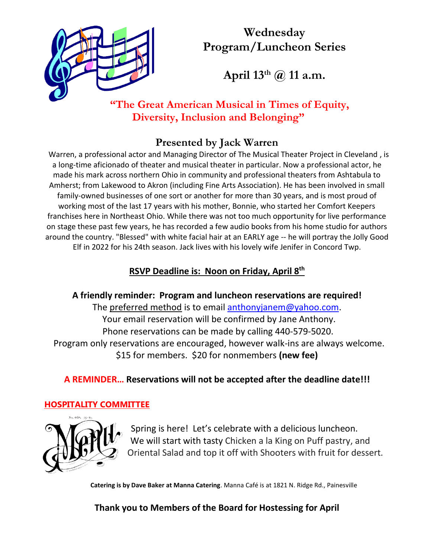

# **Wednesday Program/Luncheon Series**

**April 13th @ 11 a.m.**

## **"The Great American Musical in Times of Equity, Diversity, Inclusion and Belonging"**

# **Presented by Jack Warren**

Warren, a professional actor and Managing Director of The Musical Theater Project in Cleveland , is a long-time aficionado of theater and musical theater in particular. Now a professional actor, he made his mark across northern Ohio in community and professional theaters from Ashtabula to Amherst; from Lakewood to Akron (including Fine Arts Association). He has been involved in small family-owned businesses of one sort or another for more than 30 years, and is most proud of working most of the last 17 years with his mother, Bonnie, who started her Comfort Keepers franchises here in Northeast Ohio. While there was not too much opportunity for live performance on stage these past few years, he has recorded a few audio books from his home studio for authors around the country. "Blessed" with white facial hair at an EARLY age -- he will portray the Jolly Good Elf in 2022 for his 24th season. Jack lives with his lovely wife Jenifer in Concord Twp.

#### **RSVP Deadline is: Noon on Friday, April 8th**

**A friendly reminder: Program and luncheon reservations are required!** The preferred method is to email [anthonyjanem@yahoo.com.](mailto:anthonyjanem@yahoo.com) Your email reservation will be confirmed by Jane Anthony. Phone reservations can be made by calling 440-579-5020. Program only reservations are encouraged, however walk-ins are always welcome. \$15 for members. \$20 for nonmembers **(new fee)**

## **A REMINDER… Reservations will not be accepted after the deadline date!!!**

#### **HOSPITALITY COMMITTEE**



Spring is here! Let's celebrate with a delicious luncheon. We will start with tasty Chicken a la King on Puff pastry, and Oriental Salad and top it off with Shooters with fruit for dessert.

 **Catering is by Dave Baker at Manna Catering**. Manna Café is at 1821 N. Ridge Rd., Painesville

**Thank you to Members of the Board for Hostessing for April**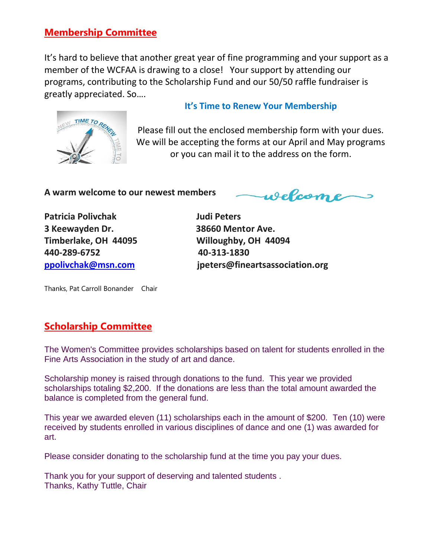#### **Membership Committee**

It's hard to believe that another great year of fine programming and your support as a member of the WCFAA is drawing to a close! Your support by attending our programs, contributing to the Scholarship Fund and our 50/50 raffle fundraiser is greatly appreciated. So….

# TIME TO RE

#### **It's Time to Renew Your Membership**

Please fill out the enclosed membership form with your dues. We will be accepting the forms at our April and May programs or you can mail it to the address on the form.

**A w[arm w](https://creativecommons.org/licenses/by-nc-sa/3.0/)elc[ome to](https://creativecommons.org/licenses/by-nc-sa/3.0/) our newest members**

welcome

**Patricia Polivchak Judi Peters 3 Keewayden Dr. 38660 Mentor Ave. Timberlake, OH 44095 Willoughby, OH 44094 440-289-6752 40-313-1830**

**[ppolivchak@msn.com](mailto:ppolivchak@msn.com) jpeters@fineartsassociation.org**

Thanks, Pat Carroll Bonander Chair

#### **Scholarship Committee**

The Women's Committee provides scholarships based on talent for students enrolled in the Fine Arts Association in the study of art and dance.

Scholarship money is raised through donations to the fund. This year we provided scholarships totaling \$2,200. If the donations are less than the total amount awarded the balance is completed from the general fund.

This year we awarded eleven (11) scholarships each in the amount of \$200. Ten (10) were received by students enrolled in various disciplines of dance and one (1) was awarded for art.

Please consider donating to the scholarship fund at the time you pay your dues.

Thank you for your support of deserving and talented students . Thanks, Kathy Tuttle, Chair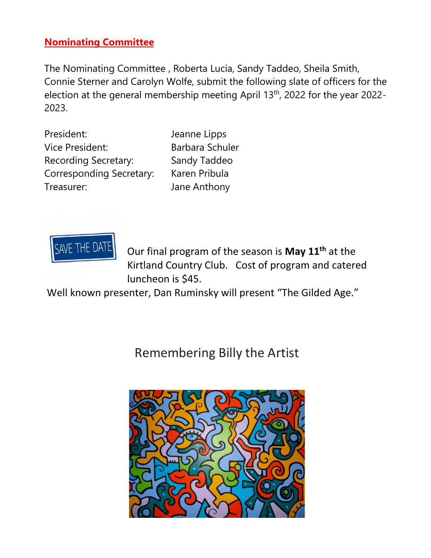#### **Nominating Committee**

The Nominating Committee , Roberta Lucia, Sandy Taddeo, Sheila Smith, Connie Sterner and Carolyn Wolfe, submit the following slate of officers for the election at the general membership meeting April 13th, 2022 for the year 2022- 2023.

| President:               |
|--------------------------|
| Vice President:          |
| Recording Secretary:     |
| Corresponding Secretary: |
| Treasurer:               |

Jeanne Lipps Barbara Schuler Sandy Taddeo Karen Pribula Jane Anthony



Our final program of the season is **May 11th** at the Kirtland Country Club. Cost of program and catered luncheon is \$45.

Well known presenter, Dan Ruminsky will present "The Gilded Age."

Remembering Billy the Artist